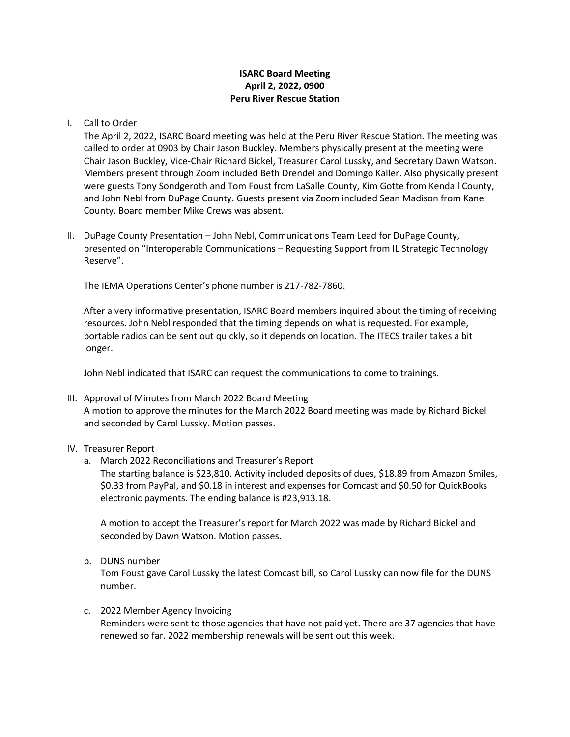# **ISARC Board Meeting April 2, 2022, 0900 Peru River Rescue Station**

### I. Call to Order

The April 2, 2022, ISARC Board meeting was held at the Peru River Rescue Station. The meeting was called to order at 0903 by Chair Jason Buckley. Members physically present at the meeting were Chair Jason Buckley, Vice-Chair Richard Bickel, Treasurer Carol Lussky, and Secretary Dawn Watson. Members present through Zoom included Beth Drendel and Domingo Kaller. Also physically present were guests Tony Sondgeroth and Tom Foust from LaSalle County, Kim Gotte from Kendall County, and John Nebl from DuPage County. Guests present via Zoom included Sean Madison from Kane County. Board member Mike Crews was absent.

II. DuPage County Presentation – John Nebl, Communications Team Lead for DuPage County, presented on "Interoperable Communications – Requesting Support from IL Strategic Technology Reserve".

The IEMA Operations Center's phone number is 217-782-7860.

After a very informative presentation, ISARC Board members inquired about the timing of receiving resources. John Nebl responded that the timing depends on what is requested. For example, portable radios can be sent out quickly, so it depends on location. The ITECS trailer takes a bit longer.

John Nebl indicated that ISARC can request the communications to come to trainings.

III. Approval of Minutes from March 2022 Board Meeting A motion to approve the minutes for the March 2022 Board meeting was made by Richard Bickel and seconded by Carol Lussky. Motion passes.

# IV. Treasurer Report

a. March 2022 Reconciliations and Treasurer's Report

The starting balance is \$23,810. Activity included deposits of dues, \$18.89 from Amazon Smiles, \$0.33 from PayPal, and \$0.18 in interest and expenses for Comcast and \$0.50 for QuickBooks electronic payments. The ending balance is #23,913.18.

A motion to accept the Treasurer's report for March 2022 was made by Richard Bickel and seconded by Dawn Watson. Motion passes.

b. DUNS number

Tom Foust gave Carol Lussky the latest Comcast bill, so Carol Lussky can now file for the DUNS number.

#### c. 2022 Member Agency Invoicing

Reminders were sent to those agencies that have not paid yet. There are 37 agencies that have renewed so far. 2022 membership renewals will be sent out this week.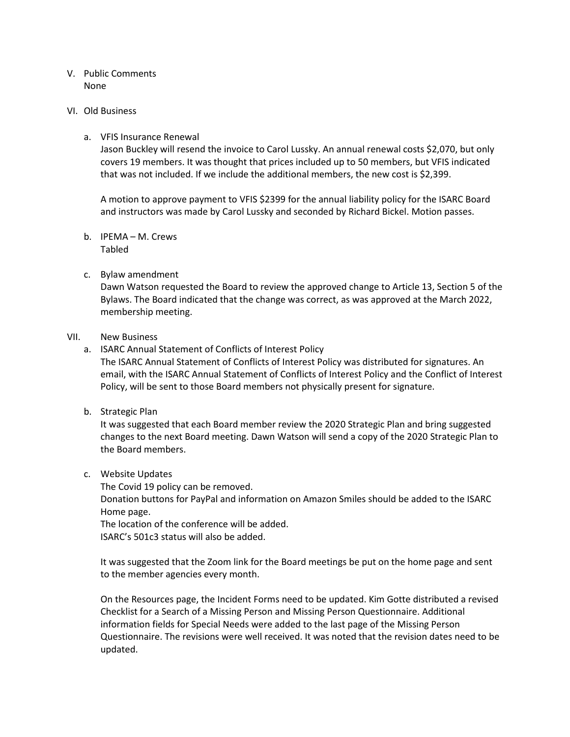### V. Public Comments None

#### VI. Old Business

### a. VFIS Insurance Renewal

Jason Buckley will resend the invoice to Carol Lussky. An annual renewal costs \$2,070, but only covers 19 members. It was thought that prices included up to 50 members, but VFIS indicated that was not included. If we include the additional members, the new cost is \$2,399.

A motion to approve payment to VFIS \$2399 for the annual liability policy for the ISARC Board and instructors was made by Carol Lussky and seconded by Richard Bickel. Motion passes.

b. IPEMA – M. Crews Tabled

### c. Bylaw amendment

Dawn Watson requested the Board to review the approved change to Article 13, Section 5 of the Bylaws. The Board indicated that the change was correct, as was approved at the March 2022, membership meeting.

#### VII. New Business

a. ISARC Annual Statement of Conflicts of Interest Policy

The ISARC Annual Statement of Conflicts of Interest Policy was distributed for signatures. An email, with the ISARC Annual Statement of Conflicts of Interest Policy and the Conflict of Interest Policy, will be sent to those Board members not physically present for signature.

b. Strategic Plan

It was suggested that each Board member review the 2020 Strategic Plan and bring suggested changes to the next Board meeting. Dawn Watson will send a copy of the 2020 Strategic Plan to the Board members.

#### c. Website Updates

The Covid 19 policy can be removed. Donation buttons for PayPal and information on Amazon Smiles should be added to the ISARC Home page.

The location of the conference will be added. ISARC's 501c3 status will also be added.

It was suggested that the Zoom link for the Board meetings be put on the home page and sent to the member agencies every month.

On the Resources page, the Incident Forms need to be updated. Kim Gotte distributed a revised Checklist for a Search of a Missing Person and Missing Person Questionnaire. Additional information fields for Special Needs were added to the last page of the Missing Person Questionnaire. The revisions were well received. It was noted that the revision dates need to be updated.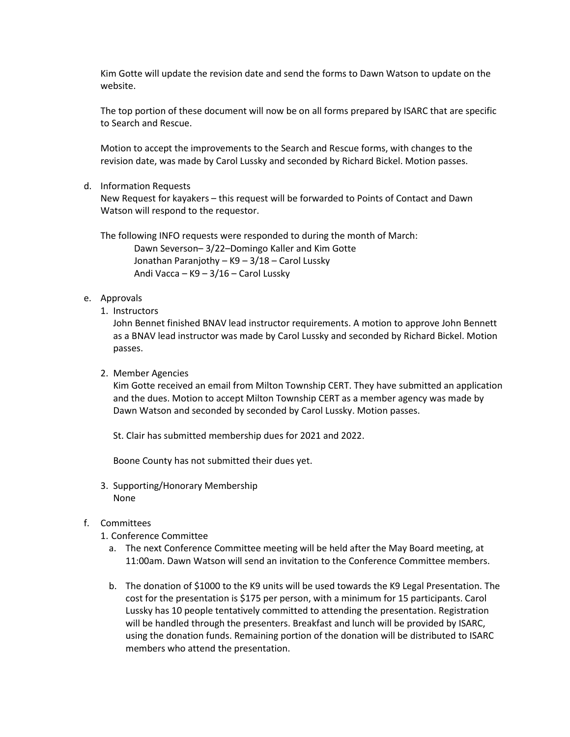Kim Gotte will update the revision date and send the forms to Dawn Watson to update on the website.

The top portion of these document will now be on all forms prepared by ISARC that are specific to Search and Rescue.

Motion to accept the improvements to the Search and Rescue forms, with changes to the revision date, was made by Carol Lussky and seconded by Richard Bickel. Motion passes.

d. Information Requests

New Request for kayakers – this request will be forwarded to Points of Contact and Dawn Watson will respond to the requestor.

The following INFO requests were responded to during the month of March: Dawn Severson– 3/22–Domingo Kaller and Kim Gotte Jonathan Paranjothy – K9 – 3/18 – Carol Lussky Andi Vacca – K9 – 3/16 – Carol Lussky

# e. Approvals

1. Instructors

John Bennet finished BNAV lead instructor requirements. A motion to approve John Bennett as a BNAV lead instructor was made by Carol Lussky and seconded by Richard Bickel. Motion passes.

2. Member Agencies

Kim Gotte received an email from Milton Township CERT. They have submitted an application and the dues. Motion to accept Milton Township CERT as a member agency was made by Dawn Watson and seconded by seconded by Carol Lussky. Motion passes.

St. Clair has submitted membership dues for 2021 and 2022.

Boone County has not submitted their dues yet.

3. Supporting/Honorary Membership None

# f. Committees

- 1. Conference Committee
	- a. The next Conference Committee meeting will be held after the May Board meeting, at 11:00am. Dawn Watson will send an invitation to the Conference Committee members.
	- b. The donation of \$1000 to the K9 units will be used towards the K9 Legal Presentation. The cost for the presentation is \$175 per person, with a minimum for 15 participants. Carol Lussky has 10 people tentatively committed to attending the presentation. Registration will be handled through the presenters. Breakfast and lunch will be provided by ISARC, using the donation funds. Remaining portion of the donation will be distributed to ISARC members who attend the presentation.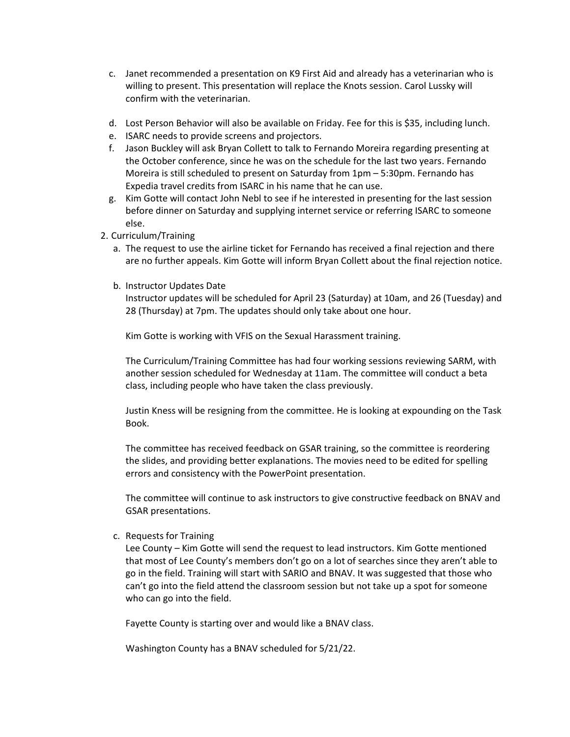- c. Janet recommended a presentation on K9 First Aid and already has a veterinarian who is willing to present. This presentation will replace the Knots session. Carol Lussky will confirm with the veterinarian.
- d. Lost Person Behavior will also be available on Friday. Fee for this is \$35, including lunch.
- e. ISARC needs to provide screens and projectors.
- f. Jason Buckley will ask Bryan Collett to talk to Fernando Moreira regarding presenting at the October conference, since he was on the schedule for the last two years. Fernando Moreira is still scheduled to present on Saturday from 1pm – 5:30pm. Fernando has Expedia travel credits from ISARC in his name that he can use.
- g. Kim Gotte will contact John Nebl to see if he interested in presenting for the last session before dinner on Saturday and supplying internet service or referring ISARC to someone else.
- 2. Curriculum/Training
	- a. The request to use the airline ticket for Fernando has received a final rejection and there are no further appeals. Kim Gotte will inform Bryan Collett about the final rejection notice.
	- b. Instructor Updates Date

Instructor updates will be scheduled for April 23 (Saturday) at 10am, and 26 (Tuesday) and 28 (Thursday) at 7pm. The updates should only take about one hour.

Kim Gotte is working with VFIS on the Sexual Harassment training.

The Curriculum/Training Committee has had four working sessions reviewing SARM, with another session scheduled for Wednesday at 11am. The committee will conduct a beta class, including people who have taken the class previously.

Justin Kness will be resigning from the committee. He is looking at expounding on the Task Book.

The committee has received feedback on GSAR training, so the committee is reordering the slides, and providing better explanations. The movies need to be edited for spelling errors and consistency with the PowerPoint presentation.

The committee will continue to ask instructors to give constructive feedback on BNAV and GSAR presentations.

c. Requests for Training

Lee County – Kim Gotte will send the request to lead instructors. Kim Gotte mentioned that most of Lee County's members don't go on a lot of searches since they aren't able to go in the field. Training will start with SARIO and BNAV. It was suggested that those who can't go into the field attend the classroom session but not take up a spot for someone who can go into the field.

Fayette County is starting over and would like a BNAV class.

Washington County has a BNAV scheduled for 5/21/22.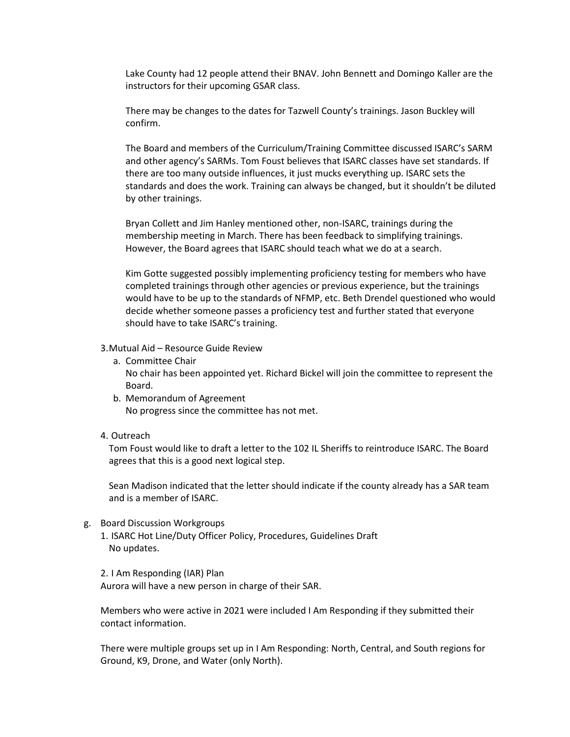Lake County had 12 people attend their BNAV. John Bennett and Domingo Kaller are the instructors for their upcoming GSAR class.

There may be changes to the dates for Tazwell County's trainings. Jason Buckley will confirm.

The Board and members of the Curriculum/Training Committee discussed ISARC's SARM and other agency's SARMs. Tom Foust believes that ISARC classes have set standards. If there are too many outside influences, it just mucks everything up. ISARC sets the standards and does the work. Training can always be changed, but it shouldn't be diluted by other trainings.

Bryan Collett and Jim Hanley mentioned other, non-ISARC, trainings during the membership meeting in March. There has been feedback to simplifying trainings. However, the Board agrees that ISARC should teach what we do at a search.

Kim Gotte suggested possibly implementing proficiency testing for members who have completed trainings through other agencies or previous experience, but the trainings would have to be up to the standards of NFMP, etc. Beth Drendel questioned who would decide whether someone passes a proficiency test and further stated that everyone should have to take ISARC's training.

3.Mutual Aid – Resource Guide Review

- a. Committee Chair No chair has been appointed yet. Richard Bickel will join the committee to represent the Board.
- b. Memorandum of Agreement No progress since the committee has not met.
- 4. Outreach

Tom Foust would like to draft a letter to the 102 IL Sheriffs to reintroduce ISARC. The Board agrees that this is a good next logical step.

Sean Madison indicated that the letter should indicate if the county already has a SAR team and is a member of ISARC.

- g. Board Discussion Workgroups
	- 1. ISARC Hot Line/Duty Officer Policy, Procedures, Guidelines Draft No updates.

2. I Am Responding (IAR) Plan Aurora will have a new person in charge of their SAR.

Members who were active in 2021 were included I Am Responding if they submitted their contact information.

There were multiple groups set up in I Am Responding: North, Central, and South regions for Ground, K9, Drone, and Water (only North).